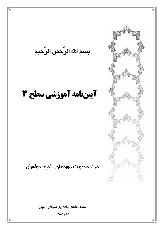بسم الله الرّحمن الرّحيم

# آييننامه آموزشي سطح 3

مركز مديريت موزمهاى علميه خواهران

مصوب شورای برنامه ریزی آموزشی–تربیتی

**uul AA41** 

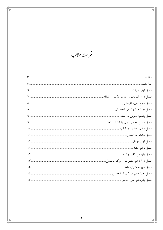فهرست مطالب

T I T

 $\overline{\phantom{a}}$ ΞĒ

 $\blacksquare$ 

a n

 $\overline{\phantom{a}}$ 

|               | فصل ششم: معادلسازی یا تطبیق واحد. |
|---------------|-----------------------------------|
|               |                                   |
|               |                                   |
|               |                                   |
|               |                                   |
|               |                                   |
| 17            | فصل دوازدهم: انصراف و ترک تحصیل   |
| $\frac{1}{2}$ | فصل سيزدهم: پاياننامه             |
|               |                                   |
|               |                                   |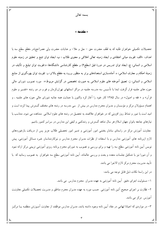بسمه تعالى

 $\mathbb{\mathbb{R}}$  as  $\mathbb{\mathbb{R}}$ 

تحصیلات تکمیلی خواهران طلبه که به لطف حضرت حق – جل و علا– و عنایات حضرت ولی عصر(عج)در مقطع سطح سه با اهداف: «الف: تقويت مباني اعتقادي و ايجاد زمينه تعالى اخلاقي و معنوى طلاب ؛ ب: ايجاد توان تتبع و تحقيق در زمينه علوم اسلامی و انسانی؛ ج: ایجاد توان تدریس در دورة قبل (سطح۲) و مقطع کارشناسی دانشگاهها؛ د:تقویت توان تبلیغ و تألیف در زمینة احکام و معارف اسلامی؛ ه: آمادهسازی استعدادهای برتر به منظور ورود به مقطع بالاتر؛ و: تقویت توان بهرهگیری از منابع اسلامی و انسانی؛ ز: تعمیق آموخته های علوم اسلامی به صورت تخصصی در گرایش مربوط»؛ مورد تصویب شورای عالی حوزه های علمیه قرار گرفت، ابتدا با تأسیس سه مدرسه علمیه در مراکز استانهای تهران،کرمان و قم و در دو رشته «تفسیر و علوم قرآن» و « فقه و اصول» در سال ۱۳۸۵ کار خود را آغاز کرد واکنون با حمایت همه جانبه شورای عالمی حوزه های علمیه ، و اهتمام مسؤولان مرکز و مؤسسان و مدیران محترم مدارس در بیش از سی مدرسه در رشته های مختلف گسترش پیدا کرده است و امید است با شور و نشاط روز افزونی که در خواهران علاقمند به تحصیل در رشته های علوم اسلامی ً مشاهده می شود، متناسب با نیازهای جامعه بانوان جهان اسلام هر سال شاهد گسترش و رشدکمی و کیفی این مدارس در سراسر کشور باشیم.

معاونت آموزش مرکز در راستای سامان بخشی امور آموزشی و تدبیر امور تحصیلی طلاب عزیز پس از دریافت بازخوردهای لازم ازبرنامه های آموزشی مدارس و با استفاده از نظرات مدیران محترم مدارس و نیزکارشناسان خبره مسائل آموزشی، پیش نویس آیین نامه آموزشی سطح سه را تهیه و برای بررسی و تصویب به شورای محترم برنامه ریزی آموزشی تربیتی مرکز ارائه نمود و آن شورا نیز با تشکیل جلسات متعدد و بحث و بررسی عالمانه، آیین نامه آموزشی سطح سه خواهران به تصویب رسانید که با تأييد مديريت محترم مركز لازم الاجرا مي باشد.

در این راستا نکات ذیل قابل توجه می باشد:

۱– مسئولیت اجرای دقیق آیین نامه آموزشی به عهده مدیران محترم مدارس می باشد.

۲– نظارت بر اجرای صحیح آئین نامه آموزشی ً حسب مورد به عهده مدیران محترم مناطق و مدیریت تحصیلات تکمیلی معاونـت آموزس مرکز می باشد.

۳– در مواردی که احیانا ابهامی در مفاد آیین نامه وجود داشته باشد، مدیران مدارس موظفند از معاونت آمــوزش منطقــه یــا مرکــز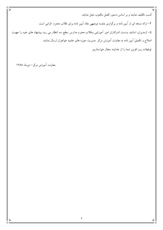كسب تكليف نمايند و بر اساس دستور العمل مكتوب عمل نمايند. ۴– ارائه نسخه ای از ایین نامه و برگزاری جلسه توجیهی مفاد ایین نامه برای طلاب محترم الزامی است. ۵– ازمدیران، اساتید، ودست اندرکاران امور اموزشی وطلاب محترم مدارس سطح سه انتظار می رود پیشنهاد های خود را جهــت اصلاح و تکمیل آیین نامه به معاونت آموزش مرکز ًمدیریت حوزه های علمیه خواهران ارسال نمایند. توفيقات روز افزون شما را از خداوند متعال خواستاريم

معاونت آموزش مرکز – تیرماه ۱۳۸۸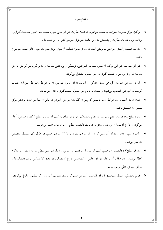#### « تعاريف»

- \* مرکـز: مرکز مدیریت حوزههای علمیه خواهران که تحت نظارت شورای عالی حوزه علمیه قـم، امـور سیاسـتگـزاری، برنامهریزی، هدایت، نظارت و پشتیبانی مدارس علمیه خواهران سراسر کشور را بر عهده دارد.
- \* مدرسه علمیه: واحدی آموزشی ــ تربیتی است که دارای مجوز فعالیت از سوی مرکز مدیریت حوزه های علمیه خواهران باشد.
- \* شورای مدرسه: شورایی مرکب از مدیر، معاونان آموزشی، فرهنگی و پژوهشی مدرسه و مدیر گروه هر گرایش در هر مدرسه که برای بررسی و تصمیم گیری در امور محوله تشکیل میگردد.
- \* گروه آموزشی مدرسه: گروهی است متشکل از اساتید دارای مجوز تدریس که با شرایط وضوابط آئیننامه مصوب گروههای آموزشی، انتخاب میشوند و نسبت به انجام امور محوّله تصمیمگیری و اقدام مینمایند.
- \* طلبه: فردی است واجد شرایط ادامه تحصیل که پس از گذراندن مراحل پذیرش در یکی از مدارس تحت یوشش مرکز مشغول به تحصیل باشد.
- \* دوره سطح سه: دومین مقطع ناپیوسته در نظام تحصیلات حوزوی خواهران است که پس از سطح۲ (دوره عمومی) آغاز میگردد و فارغ التحصیلان این دوره موفق به دریافت دانشنامه سطح ۳ حوزه های علمیه میشوند.
- \* واحد درسی: مقدار محتوای آموزشی که در ۱۶ ساعت نظری و یا ۳۲ ساعت عملی در طول یک نیمسال تحصیلی تدريس مي شود.
- مدرک سطح۳ : دانشنامه ای علمی است که پس از موفقیت در تمامی مراحل آموزشی سطح سه به دانش آموختگان 一章 اعطا میشود و دارندگان آن از کلیه مزایای علمی و استخدامی فارغ التحصیلان دورههای کارشناسی ارشد دانشگاهها و مراکز آموزش عالمی برخوردارند.
	- \* تقويم تحصيلي: جدول زمانبندي اجراي آئينiامه آموزشي است كه توسط معاونت آموزش مركز تنظيم و ابلاغ مي گردد.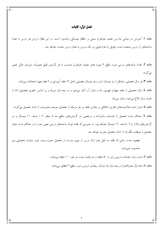#### فصل اوّل: كليات

ماده ۱: آموزش در تمامی مدارس علمیه خواهران مبتنی بر «نظام نیمسالی واحدی» است. در این نظام، ارزش هر درس با تعداد واحدهای ان درس سنجیده شده و قبولی یا عدم قبولی در یک درس، به همان درس محدود خواهد شد.

ماده ۲: تعداد واحدهای درسی دوره سطح ۳ حوزه های علمیه خواهران متناسب با هر گرایش طبق مصوبات شورای عالی تعیین می گردد. ماده ۳: هر سال تحصیلی، متشکل از دو نیمسال است و هر نیمسال تحصیلی شامل ۱۶ هفته اموزشی و ۲ هفته جهت امتحانات میباشد. م**اده ٤:** سال تحصیلی از هفته چهارم شهریور ماه و پایان آن آغاز میشود و در نیمه اول تیرماه و بر اساس «تقویم تحصیلی» که از

طرف مرکز ابلاغ میشود. پایان مییابد. ماده ۰. احراز عدم صلاحیتهای فکری، اخلاقی و رفتاری طلبه در هر مرحله از تحصیل، موجب محرومیت از ادامه تحصیل میگردد. م**اده ٦**: حداکثر مدت تحصیل با احتساب پایاننامه و مرخصی، در گرایشهای سطح سه تا سقف ۱۰۲ واحد، ۱۱ نیمسال و در

گرایشهای بالاتر از۱۰۲واحد، ۱۲ نیمسال خواهد بود. در صورتی که طلبه نتواند واحدهای درسی تعیین شده را در حداکثر مدت مجاز تحصیل با موفقیت بگذراند از ادامه تحصیل محروم خواهد شد.

تبصره: مدت زمانی که طلبه به دلیل عدم ارائه درس از سوی مدرسه از تحصیل محروم بوده، جزو سنوات تحصیلی وی محسوب نميشود.

ماده ۷: مدت زمان جلسات درسی برابر با ۵۰ دقیقه و دو جلسه پشت سر هم ۱۰۰ دقیقه می باشد.

ماده ۸: دهه اوّل محرم|لحرام و نیمه دوّم ماه مبارک رمضان، دروس دوره سطح ۳ تعطیل میباشد.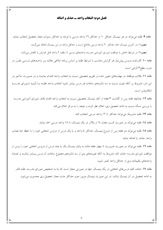# فصل دوم: انتخاب واحد ـ حذف و اضافه

ماده ۹: طلبه میتواند در هر نیمسال حداقل ۱۰ و حداکثر ۱۲ واحد درسی با توجه به حداکثر سنوات مجاز تحصیل انتخاب نماید. <mark>تبصره</mark> ۱: در آخرین نیمسال اخذ حداکثر ۲۰ واحد درسی بلامانع است و حداقل واحد در این نیمسال لحاظ نمی گردد. .<br>تبصره۲: در شرایط خاص با موافقت شورای آموزشی مدرسه، واحدهای درسی تا سقف ۲ واحد قابل افزایش یا کاهش میباشد. ماده ۱۰: گذراندن دروس پیش:یاز هر گرایش متناسب با شرایط طلبه بر اساس برنامه ابلاغی علاوه بـر واحـدهای درسـی مقـرّر در دوره سطح۳ الزامي است.

ماده ۱۱: طلاب موظفند در مهلتهای تعیین شده در تقویم تحصیلی نسبت به انتخاب واحد اقـدام نماینـد و در صـورت تـأخیر در این امر، مشروط بر آنکه غیبت نسبت به سه شانزدهم ساعات هر درس بیشتر نشود انتخاب واحد طلبـه بــا تأییــد شــورای مدرســه امكان يذير است.

ماده ١٢: چنانچه طلبه پس از گذشت ٣ هفته از آغاز نيمسال تحصيلي نسبت به انتخاب واحد اقدام نكند، شوراى آموزشي مدرسه با بررسی مسأله نسبت به ادامه تحصیل وی، اعلام نظر کرده و نتیجه را به مرکز اعلام میکند.

ماده ١٣: طلبه مشروط، مي تواند حداكثر تا ١٢ واحد درسي انتخاب كند.

ماده ١٤: طلبه مي تواند در صورت كسب معدل ١٨ و بالاتر در يك نيمسال، تا ١٨ واحد درسي اخذ نمايد.

ماده ١٥: طلبه مي تواند دو هفته پس از شروع نيمسال، حداكثر ٤ واحد و يا يك درس از دروس انتخابي خود را با حفظ حدّ نصاب واحد حذف يا اضافه نمايد.

ماده ١٦: طلبه مي تواند در صورت ضرورت تا چهار هفته مانده به پايان نيمسال يک يا چند درس از دروس انتخابي خود را يـس از موافقت شورای مدرسه حذف کند مشروط به اّنکه غیبتهای وی از سه شانزدهم مجموع ساعات اّن درس بیـشتر نباشــد و تعــداد واحدهای باقیمانده وی از حداقل واحد کمتر نشود.

ماده ۱۷: حذف کلیه درس های انتخابی در یک نیمسال، تنها در صورتی مجاز است که بنا به تشخیص شورای مدرسه، طلبه قادر به ادامه تحصیل در أن نیمسال نباشد. در این صورت نیمسال مزبور جزو حداکثر مدت مجاز تحصیل وی محسوب میشود.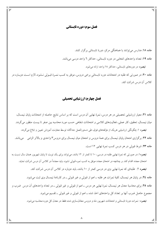#### فصل سوم: دوره تابستاني

ماده ۱۸: مدارس می توانند با هماهنگی مرکز، دورهٔ تابستانی برگزار کنند. ماده ۱۹: تعداد واحدهای انتخابی در دوره تابستانی، حداکثر ٦ واحد درسی میباشد. **تبصره:** در دورههای تابستانی، حداکثر ۱۸ واحد ارائه می شود.

ماده ۲۰: در صورتی که طلبه در امتحانات دوره تابستانی برخی دروس، موفق به کسب نمـرهٔ قبـولی نـشود، لازم اسـت دوبـاره در كلاس آن درس شركت كند.

# فصل چهارم: ارزشیابی تحصیلی

ماده ۲۱: معیار ارزشیابی تحصیلی در هر درس، نمرهٔ نهایی آن درس است که بر اساس نتایج حاصله از امتحانات پایان نیمسال، میان نیمسال، تحقیق، کار عملی، فعالیتهای کلاسی و امتحانات شفاهی حسب مورد محاسبه بین صفر تا بیست منظور می گردد. <mark>تبصره</mark> ۱: چگونگی ارزشیابی هریک از مؤلفههای فوق، طی دستورالعمل جداگانه توسط معاونت آموزش تعیین و ابلاغ می گردد. ماده ۲۲: برگزاری امتحان پایان نیمسال برای همهٔ دروس و امتحان میان نیمسال برای دروس۳ واحدی و بالاتر الزامی میباشد. ماده ٢٣: شرط قبولي در هر درس كسب نمرة نهايي ١٢ است.

<mark>تبصره</mark> ۱: در صورتی که نمرهٔ نهایی طلبه در درسی، ۱۰ تا کمتر از ۱۲ باشد، میتواند برای یک نوبت تا پایان شهریور همان سال نسبت به امتحان مجدد اقدام کند. و چنانچه در امتحان مجدد موفق به کسب نمره قبولی نشود، باید مجدداً در کلاس آن درس شرکت نماید.

<mark>تبصره</mark> ۲: طلبهای که نمرهٔ نهایی وی در درسی کمتر از ۱۰ باشد، باید دوباره در کلاس آن درس شرکت کند.

ماده ٢٤: در پایان هر نیمسال، کلیهٔ نمرات هر طلبه ـ اعم از قبولی و غیر قبولی ــ در کارنامهٔ نیمسال وی ثبت میشود. ماده ۲۵: برای محاسبهٔ معدل هر نیمسال، نمرهٔ نهایی هر درس ـ اعم از قبولی و غیر قبولی ـ در تعداد واحدهای آن درس ضرب و

مجموع حاصل ضرب أنها بر تعداد كل واحدهاى اخذ شده ـ اعم از قبولي و غير قبولي ـ تقسيم مي شود.

<mark>تبصره</mark> : نمرات دورهٔ تابستانی و امتحانات شهریور ماه و دروس معادلسازی شده فقط در معدل کل دوره محاسبه می شود.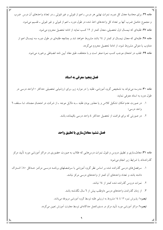ماده ۲۹: برای محاسبهٔ معدل کل دوره، نمرات نهایی هر درس ـ اعم از قبولی و غیر قبولی ــ در تعداد واحدهای آن درس ضرب و مجموع حاصل ضرب أنها بر تعداد کل واحدهای اخذ شده در طول دوره ـ اعم از قبولی و غیر قبولی ـ تقسیم میشود. ماده ۲۷: طلبهای که نیمسال اول تحصیلی، معدل کمتر از ۱۲ کسب نماید از ادامه تحصیل محروم می شود. ماده ۲۸: طلبهای که معدل نیمسال او کمتر از ۱۶ باشد مشروط خواهد شد و چنانچه طلبهای در طول دوره سه نیمسال اعم از متناوب یا متوالی مشروط شود، از ادامهٔ تحصیل محروم می گردد.

ماده ٢٩: تقلب در امتحان موجب كسب نمرة صفر است و با متخلف، طبق مفاد آيين نامه انضباطي برخورد مي شود.

# فصل ینجم: معرفی به استاد

ماده ۳۰: مدرسه می تواند به تشخیص گروه آموزشی، طلبه را در موارد زیر، برای ارزشیابی تحصیلی حداکثر ۱۰واحد درسی در طول دوره به استاد معرفی نماید:

- ١. در صورت عدم امكان تشكيل كلاس و يا معذور بودن طلبه ــ به دلايل موجه ــ از شركت در امتحــان مجــدّد، تــا ســقف ٦ واحد درسی؛
	- ۲. در صورتی که برای فراغت از تحصیل حداکثر ٤ واحد درسی باقیمانده باشد.

# فصل ششم: معادلسازي يا تطبيق واحد

م**اده ۳۱:** معادل $بازی و تطبیق دروس و قبول نمرات درس۵هایی که طلاب به صورت حضوری در مراکز اَموزشی مورد تأیید مرکز$ گذراندهاند با شرایط زیر انجام می شود:

- ۱. سرفصلهای درسی گذرانده شده بر اساس نظر گروه آموزشی با سرفـصلهای برنامـه درسـی مرکـز حـداقل ۸۰٪ اشـتراک داشته باشد و تعداد واحدهای آن کمتر از واحدهای درسی مرکز نباشد.
	- ۲. نمرات دروس گذرانده شده کمتر از ۱٤ نباشد.
	- ۳. از زمان گذراندن واحدهای درسی داوطلب بیش از ٦ سال نگذشته باشد.

<mark>تبصره</mark> ۱: پذیرش نمره ۱۲ تا ۱۶ مشروط به ارزیابی طلبه توسط گروه آموزشی مربوطه میباشد.

**تبصره**۲: مراکز اَموزشی مورد تأیید مرکز در دستورالعمل جداگانهای توسط معاونت اَموزش تعیین میگردد.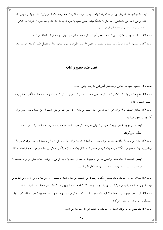تبصره۳: چنانچه فاصله زمانی بین زمان گذراندن واحد درسی داوطلب، تا زمان اخذ واحد، ٦ سال و بیش تر باشد و یا در صورتی که طلبه، برخی از دروس تخصّصی را در یکی از دانشگاههای رسمی کشور با نمره ۱۶ به بالا گذرانده باشد، صرفاً از شرکت در کلاس معاف میشود و حضور در امتحانات الزامی است.

ماده ۳۲: نمرات دروس معادلسازي شده در معدل آن نيمسال محاسبه نمي شود ولي در معدل كل لحاظ مي شود.

ماده ٣٣: به نسبت واحدهاي يذيرفته شده از سقف مرخصي ها، مشروطي ها و طول مدت مجاز تحصيل طلبه، كاسته خواهد شد.

# فصل هفتم: حضور و غیاب

ماده ۳٤: حضور طلبه در تمامی برنامههای آموزشی مدرسه الزامی است.

ماده ٣٥: عدم حضور يا ترک کلاس تا ده دقيقه، تأخير محسوب مي شود و بيشتر از آن، غيبت و هر سه جلسه تأخير، حکم يک جلسه غيبت را دارد.

ماده ٣٦: حداکثر غیبت مجاز برای هر واحد درسی، سه جلسه میباشد و در صورت افزایش غیبت از این مقدار، نمرهٔ صفر برای ان درس منظور می شود.

**تبصره**: در موارد خاص و به تشخیص شورای مدرسه، اگر غیبت کاملاً موجه باشد، درس حذف می شود و نمره صفر منظور نمي گردد.

ماده ۳۷: طلبه میتواند با موافقت مدرسه برای تبلیغ و با اطلاع مدرسه برای مواردی مثل ازدواج یا بیماری حاد خود، همسر یا والدین یا فوت همسر و بستگان درجهٔ یک خود و همسر تا حداکثر یک هفته از مرخّصی علاوه بر حداکثر غیبت مجاز استفاده کند.

**تبصره**: استفاده از یک هفته مرخصی در موارد مربوط به بیماری حاد، با ارایهٔ گواهی از پزشک معالج مبنی بر لزوم استفاده از مرخصی مستمر در صورت تأیید مدیر مدرسه، امکان پذیر است.

ماده ۳۸: طلبهای که در امتحان پایان نیمسال یک یا چند درس غیبت موجــه داشــته باشــد، آن درس یــا دروس از دروس انتخــابی نیمسال وی حذف میشود و میتواند برای یک نوبت و حداکثر تا امتحانات شهریور همان سال، در امتحان بعد شرکت کند. ماده ۳۹: غیبت غیر موجه در امتحان میان نیمسال موجب کسب نمرهٔ صفر می شود و در صورت موجه بودن غیبت، فقط نمره پایان نیمسال برای آن درس منظور میگردد.

ماده ٤٠: تشخيص موجه بودن غيبت در امتحان، به عهدهٔ شوراي مدرسه مي باشد.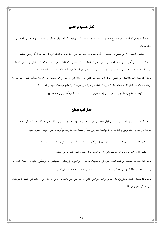#### فصل هشتم: مرخصي

ماده ٤١: طلبه مي تواند در دوره سطح سه، با موافقت مدرسه، حداكثر دو نيمسال تحصيلي متوالي يا متناوب از مرخصي تحصيلي استفاده کند.

<mark>تبصره</mark>: استفاده از مرخصبي در نيمسال اول ــ صرفاً در صورت ضرورت ــ با موافقت شوراي مدرسه امكان يذير است. ماده ٤٢: طلبه در آخرین نیمسال تحصیلی، در صورت انتقال به شهرستانی که فاقد مدرسه علمیه تحت پوشش باشد می تواند با هماهنگی مدیر مدرسه بدون حضور در کلاس نسبت به شرکت در امتحانات واحدهای اخذ شده اقدام نماید. ماده ٤٣: طلبه بايد تقاضاي مرخصي خود را به صورت كتبي تا ٣ هفته قبل از شروع هر نيمسال به مدرسه تسليم كند و مدرسه نيز موظف است حد اكثر تا دو هفته بعد از دريافت تقاضاى مرخصى موافقت يا عدم موافقت خود را اعلام كند. <mark>تبصره</mark>: عدم پاسخگویی مدرسه در زمان مقرّر به منزله موافقت با مرخّصی وی خواهد بود.

# فصل نهم: مهمان

ماده ٤٤: طلبه پس از گذراندن نیمسال اول تحصیلی می تواند در صورت ضرورت برای گذراندن حداکثر دو نیمسال تحصیلی، یا شرکت در یک یا چند درس یا امتحان ــ با موافقت مدارس مبدأ و مقصد ــ به مدرسه دیگری به عنوان مهمان معرفی شود.

**تبصره**۱: تعداد دروسی که طلبه به صورت مهمان میگذراند نباید بیش از یک سوم کل واحدهای دوره باشد.

**تبصره**۲: در همه موارد فوق رضایت کتبی پدر یا همسر برای مهمان شدن طلبه الزامی است.

ماده ٤٥: مدرسهٔ مقصد موظف است گزارش وضعیت درسی، آموزشی، پژوهشی، انضباطی و فرهنگی طلبه را جهت ثبت در يروندهٔ تحصيلي طلبهٔ مهمان حداكثر تا دو ماه بعد از امتحانات به مدرسهٔ مبدأ ارسال كند.

ماده ٤٦: مهمان شدن دانشپیژوهان سایر مراکز آموزش عالی و مدارس غیر تابعه در یکی از مدارس و بالعکس فقط با موافقت کتبی مرکز، مجاز میباشد.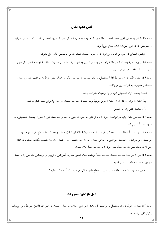#### فصل دهم: انتقال

ماده ٤٧: انتقال به معنای تغییر محل تحصیل طلبه از یک مدرسه به مدرسهٔ دیگر، در یک دورهٔ تحصیلی است که بر اساس شرایط

و ضوابطی که در این آئیننامه آمده انجام میپذیرد. **تبصره**: انتقالی در صورتی انجام میشود که از طریق مهمان شدن مشکل تحصیلی طلبه حل نشود. ماده ٤٨: پذیرش درخواست انتقال طلبهٔ واجد شرایط، از شهری به شهر دیگر، فقط در صورت انتقال خانواده متقاضی، از سوی مدرسه مبدأ و مقصد ضروری است. ماده ٤٩: انتقال طلبه داراي شرايط ادامهٔ تحصيل، از يک مدرسه به مدرسه ديگر در همان شهر منوط به موافقت مدارس مبدأ و مقصد و مشروط به شرایط زیر میباشد: الف) نیمسال اول تحصیلی خود را با موفقیت گذرانده باشد؛ ب) امتیاز آزمون ورودی او از امتیاز آخرین فردیذیرفته شده در مدرسه مقصد، در سال پذیرش طلبه کمتر نباشد. ج) رضایت کتبی پدر یا همسر ماده ٥٠: متقاضى انتقال بايد درخواست خود را با ذكر دليل به صورت كتبى و حداقل سه هفته قبل از شروع نيمسال تحصيلى، به مدرسهٔ مبدأ تسلیم کند. ماده ٥١: مدرسه مبدأ موظف است حداكثر ظرف يک هفته دربارهٔ تقاضای انتقال طلاب واجد شرايط اعلام نظر و در صورت موافقت، ریز نمرات و وضعیت آموزشی ـ اخلاقی طلبه را به مدرسه مقصد ارسال کند؛ و مدرسه مقصد، مکلف است یک هفته پس از دریافت نظر مدرسه مبدأ، نظر خود را به مدرسه مبدأ اعلام نماید. ماده ٥٢: يس از موافقت مدرسه مقصد، مدرسه مبدأ موظف است تمامى مدارك أموزشي ــ تربيتي و يژوهشي متقاضى را با حفظ

سوابق به مدرسه مقصد ارسال نماید.

**تبصره:** مدرسهٔ مقصد موظف است پس از انجام دادن انتقال، مراتب را کتباً به مرکز اعلام کند.

#### فصل يازدهم: تغيير رشته

ماده ٥٣: طلبه در طول دوران تحصیل با موافقت گروههای آموزشی رشتههای مبدأ و مقصد در صورت داشتن شرایط زیر می تواند يكبار تغيير رشته دهد: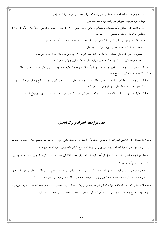الف) مجاز بودن ادامه تحصیل متقاضی در رشته تحصیلی فعلی از نظر مقررات آموزشی ب) وجود ظرفيت يذيرش در رشته مورد نظر متقاضى ج) موفقیت در حداقل یک نیمسال تحصیلی و باقی ماندن بیش از ٥٠ درصد واحدهای درسی رشتهٔ مبدأ؛ مگر در موارد تعطیلی یا انحلال رشته تحصیلی در أن مدرسه هـ) موفقیت در آزمون علمی کتبی یا شفاهی در مرکز، حسب تشخیص معاونت آموزش مرکز د) دارا بودن شرايط اختصاصي پذيرش رشته مورد نظر **تبصره**: در صورت داشتن معدل ١٦ به بالا در رشته مبدأ، شرط معدل پذیرش در رشته جدید لحاظ نمیشود. تبصره: واحدهای درسی گذرانده شده مطابق شرایط تطبیق، معادلسازی و پذیرفته می شود. ماده ٥٤: متقاضی باید درخواست تغییر رشته خود را کتباً به انضمام مدارک لازم به مدرسه تسلیم نماید و مدرسه نیز موظف است حداکثر ۲ هفته به تقاضای او پاسخ دهد. ماده ٥٥: پس از موافقت با تغییر رشته، متقاضی موظف است در موعد مقرر نسبت به یی گیری امور ثبتنام و سایر مراحل اقدام نماید و الّا حق تغییر رشته تا پایان دوره از وی سلب میگردد. ماده ٥٦: معاونت آموزش مرکز موظف است دستورالعمل اجرائی تغییر رشته را ظرف مدت سه ماه تدوین و ابلاغ نماید.

# فصل دوازدهم: انصراف و ترک تحصیل

ماده ٥٧: طلبهای که متقاضی انصراف از تحصیل است لازم است درخواست کتبی خود را به مدرسه تسلیم کند و تسویه حساب نماید. در غیر اینصورت از ادامه تحصیل، بازپذیری و دریافت هرنوع گواهیٖنامه و ریز نمرات محروم میگردد. ماده ٥٨: چنانچه متقاضی انصراف تا قبل از آغاز نیمسال تحصیلی بعد، تقاضای خود را پس بگیرد شورای مدرسه دربارهٔ این درخواست تصمیم گیری می کند.

<mark>تبصره</mark>: در صورت پس گرفتن تقاضای انصراف و پذیرش آن توسط شورای مدرسه، مدت عدم حضور طلبه در کلاس، جزو غیبتهای وی محاسبه میگردد و چنانچه عدم حضور وی بیشتر از حد مجاز غیبت باشد، جزو مرخصی دوره محاسبه میگردد.

ماده ٥٩: طلبهای که بدون اطلاع و موافقت شورای مدرسه برای یک نیمسال ترک تحصیل نماید، از ادامهٔ تحصیل محروم می گردد و در صورت اطلاع و موافقت شورای مدرسه، اَن نیمسال نیز جزء مرخصی تحصیلی وی محسوب می گردد.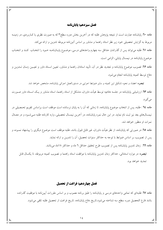#### فصل سيزدهم: پاياننامه

ماده ٦٠: پایاننامه عبارت است از نتیجه پژوهش طلبه که در آخرین بخش دوره سطح٣که به صورت نظری یا کـاربردی، در زمینــه مربوط به گرایش تحصیلی خود زیر نظر استاد راهنما و مشاور بر اساس أئیننامه مربوطه تدوین و ارائه می کند. ماده ٦١: طلبه مي تواند پس از گذراندن حداقل سه چهارم واحدهاى درسى، موضـوع پايــانiمـه خـود را انتخـاب كنـد و انتخـاب موضوع ياياننامه در نيمسال ياياني، الزامي است.

ماده ٦٢: تصويب موضوع پايان $نامه و تجديد نظر در آن، تأييد استادان راهنما و مشاور، تعيين اسـتاد داور و تعيـين زمـان تــدوين و$ دفاع توسط كميته پاياننامه انجام مى شود.

<mark>تبصره:</mark> اعضاء و نحوه تشكيل اين كميته و ساير ضوابط اجرايي در دستورالعمل اجرائي پاياننامه، مشخص خواهد شد.

ماده ٦٣: ارزشیابی پایاننامه در جلسه دفاعیه توسط هیأت داوران، متشکل از استاد راهنما، استاد مشاور و یـک اسـتاد داور صـورت مي گير د.

ماده ٦٤ : طلبه، يس از انتخاب موضوع يايانiامه، تا زماني كه اّن را به پايان نرسانده است موظف است براساس تقويم تحـصيلي در نیمسال@ای بعد نیز ثبت نام نماید. در این حال نمره پایاننامه، در اَخرین نیمسال تحصیلی، وارد کارنامه طلبه مـی شـود و در معــدّل نمرات او منظور خواهد شد.

ماده ٦٥: در صورتی که پایاننامه، از نظر هیأت داوران، غیر قابل قبول باشد، طلبه موظف است موضوع دیگری را پیشنهاد نمــوده و پس از تصویب، بر اساس ضوابط با توجه به حداکثر سنوات تحصیل، آن را تدوین و ارائه نماید.

ماده ٦٦: زمان تدوين پاياننامه پس از تصويب طرح تحقيق حداقل ٦ ماه و حداكثر ١٨ماه مي باشد.

<mark>تبصره</mark>: در موارد استثنائی، حداکثر زمان تدوین پایانiامه با موافقت استاد راهنما و تصویب کمیته مربوطه، تا یکسال قابل تمديد خواهد بود.

# فصل چهاردهم: فراغت از تحصیل

ماده ٦٧: طلبهای که تمامی واحدهای درسی و پایاننامه را طبق برنامه مصوب و بر اساس مقررات آییننامه با موفقیت گذرانده باشد فارغ التحصيل دوره سطح سه شناخته مى شود.تاريخ دفاع پاياننامه، تاريخ فراغت از تحصيل طلبه تلقى مى شود.